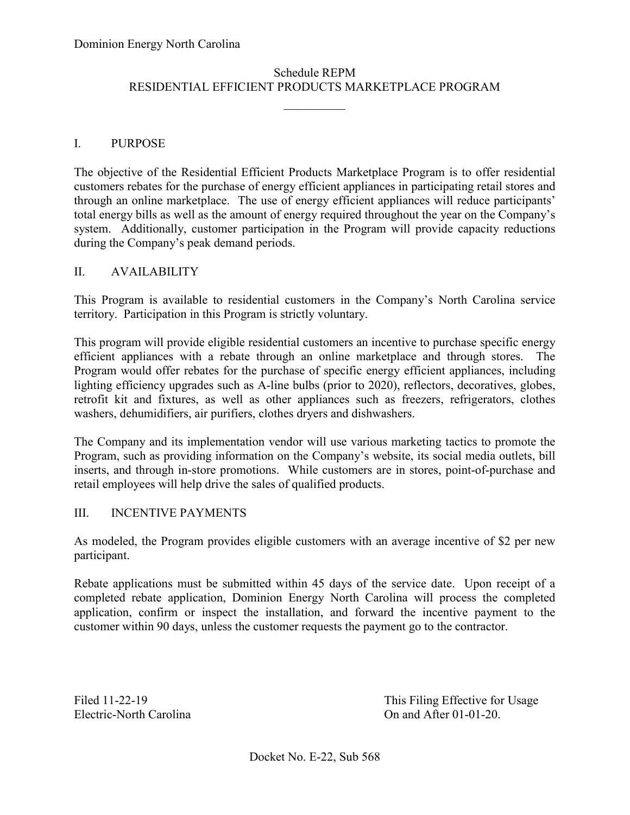# Schedule REPM RESIDENTIAL EFFICIENT PRODUCTS MARKETPLACE PROGRAM

 $\frac{1}{2}$ 

### I. PURPOSE

 The objective of the Residential Efficient Products Marketplace Program is to offer residential customers rebates for the purchase of energy efficient appliances in participating retail stores and through an online marketplace. The use of energy efficient appliances will reduce participants' system. Additionally, customer participation in the Program will provide capacity reductions total energy bills as well as the amount of energy required throughout the year on the Company's during the Company's peak demand periods.

### II. AVAILABILITY

 territory. Participation in this Program is strictly voluntary. This Program is available to residential customers in the Company's North Carolina service

 Program would offer rebates for the purchase of specific energy efficient appliances, including This program will provide eligible residential customers an incentive to purchase specific energy efficient appliances with a rebate through an online marketplace and through stores. The lighting efficiency upgrades such as A-line bulbs (prior to 2020), reflectors, decoratives, globes, retrofit kit and fixtures, as well as other appliances such as freezers, refrigerators, clothes washers, dehumidifiers, air purifiers, clothes dryers and dishwashers.

The Company and its implementation vendor will use various marketing tactics to promote the Program, such as providing information on the Company's website, its social media outlets, bill inserts, and through in-store promotions. While customers are in stores, point-of-purchase and retail employees will help drive the sales of qualified products.

#### III. INCENTIVE PAYMENTS

 As modeled, the Program provides eligible customers with an average incentive of \$2 per new participant.

 Rebate applications must be submitted within 45 days of the service date. Upon receipt of a customer within 90 days, unless the customer requests the payment go to the contractor. completed rebate application, Dominion Energy North Carolina will process the completed application, confirm or inspect the installation, and forward the incentive payment to the

Electric-North Carolina

Filed 11-22-19 This Filing Effective for Usage On and After  $01-01-20$ .